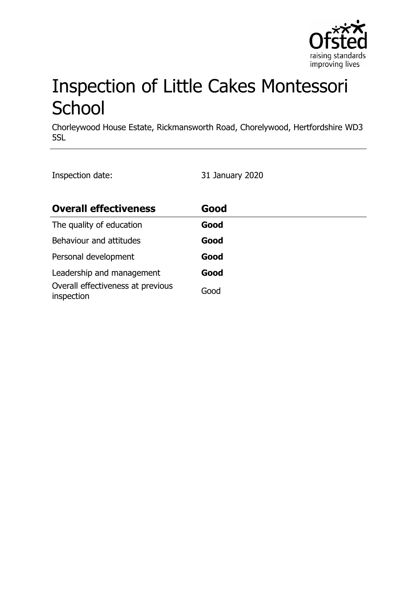

# Inspection of Little Cakes Montessori **School**

Chorleywood House Estate, Rickmansworth Road, Chorelywood, Hertfordshire WD3 5SL

Inspection date: 31 January 2020

| <b>Overall effectiveness</b>                    | Good |
|-------------------------------------------------|------|
| The quality of education                        | Good |
| Behaviour and attitudes                         | Good |
| Personal development                            | Good |
| Leadership and management                       | Good |
| Overall effectiveness at previous<br>inspection | Good |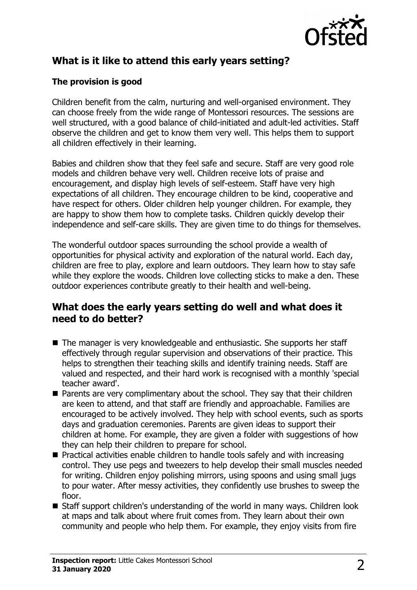

# **What is it like to attend this early years setting?**

#### **The provision is good**

Children benefit from the calm, nurturing and well-organised environment. They can choose freely from the wide range of Montessori resources. The sessions are well structured, with a good balance of child-initiated and adult-led activities. Staff observe the children and get to know them very well. This helps them to support all children effectively in their learning.

Babies and children show that they feel safe and secure. Staff are very good role models and children behave very well. Children receive lots of praise and encouragement, and display high levels of self-esteem. Staff have very high expectations of all children. They encourage children to be kind, cooperative and have respect for others. Older children help younger children. For example, they are happy to show them how to complete tasks. Children quickly develop their independence and self-care skills. They are given time to do things for themselves.

The wonderful outdoor spaces surrounding the school provide a wealth of opportunities for physical activity and exploration of the natural world. Each day, children are free to play, explore and learn outdoors. They learn how to stay safe while they explore the woods. Children love collecting sticks to make a den. These outdoor experiences contribute greatly to their health and well-being.

## **What does the early years setting do well and what does it need to do better?**

- $\blacksquare$  The manager is very knowledgeable and enthusiastic. She supports her staff effectively through regular supervision and observations of their practice. This helps to strengthen their teaching skills and identify training needs. Staff are valued and respected, and their hard work is recognised with a monthly 'special teacher award'.
- $\blacksquare$  Parents are very complimentary about the school. They say that their children are keen to attend, and that staff are friendly and approachable. Families are encouraged to be actively involved. They help with school events, such as sports days and graduation ceremonies. Parents are given ideas to support their children at home. For example, they are given a folder with suggestions of how they can help their children to prepare for school.
- $\blacksquare$  Practical activities enable children to handle tools safely and with increasing control. They use pegs and tweezers to help develop their small muscles needed for writing. Children enjoy polishing mirrors, using spoons and using small jugs to pour water. After messy activities, they confidently use brushes to sweep the floor.
- $\blacksquare$  Staff support children's understanding of the world in many ways. Children look at maps and talk about where fruit comes from. They learn about their own community and people who help them. For example, they enjoy visits from fire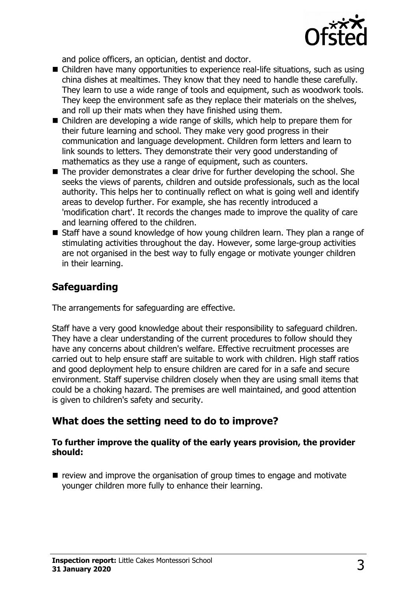

and police officers, an optician, dentist and doctor.

- $\blacksquare$  Children have many opportunities to experience real-life situations, such as using china dishes at mealtimes. They know that they need to handle these carefully. They learn to use a wide range of tools and equipment, such as woodwork tools. They keep the environment safe as they replace their materials on the shelves, and roll up their mats when they have finished using them.
- $\blacksquare$  Children are developing a wide range of skills, which help to prepare them for their future learning and school. They make very good progress in their communication and language development. Children form letters and learn to link sounds to letters. They demonstrate their very good understanding of mathematics as they use a range of equipment, such as counters.
- $\blacksquare$  The provider demonstrates a clear drive for further developing the school. She seeks the views of parents, children and outside professionals, such as the local authority. This helps her to continually reflect on what is going well and identify areas to develop further. For example, she has recently introduced a 'modification chart'. It records the changes made to improve the quality of care and learning offered to the children.
- Staff have a sound knowledge of how young children learn. They plan a range of stimulating activities throughout the day. However, some large-group activities are not organised in the best way to fully engage or motivate younger children in their learning.

## **Safeguarding**

The arrangements for safeguarding are effective.

Staff have a very good knowledge about their responsibility to safeguard children. They have a clear understanding of the current procedures to follow should they have any concerns about children's welfare. Effective recruitment processes are carried out to help ensure staff are suitable to work with children. High staff ratios and good deployment help to ensure children are cared for in a safe and secure environment. Staff supervise children closely when they are using small items that could be a choking hazard. The premises are well maintained, and good attention is given to children's safety and security.

## **What does the setting need to do to improve?**

#### **To further improve the quality of the early years provision, the provider should:**

 $\blacksquare$  review and improve the organisation of group times to engage and motivate younger children more fully to enhance their learning.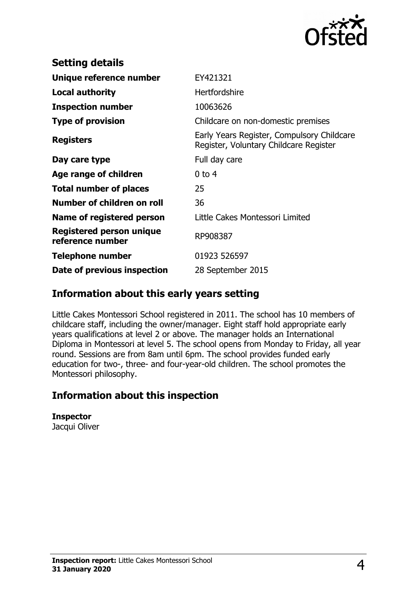

| <b>Setting details</b>                              |                                                                                      |
|-----------------------------------------------------|--------------------------------------------------------------------------------------|
| Unique reference number                             | EY421321                                                                             |
| Local authority                                     | <b>Hertfordshire</b>                                                                 |
| <b>Inspection number</b>                            | 10063626                                                                             |
| <b>Type of provision</b>                            | Childcare on non-domestic premises                                                   |
| <b>Registers</b>                                    | Early Years Register, Compulsory Childcare<br>Register, Voluntary Childcare Register |
| Day care type                                       | Full day care                                                                        |
| Age range of children                               | $0$ to 4                                                                             |
| <b>Total number of places</b>                       | 25                                                                                   |
| Number of children on roll                          | 36                                                                                   |
| Name of registered person                           | Little Cakes Montessori Limited                                                      |
| <b>Registered person unique</b><br>reference number | RP908387                                                                             |
| <b>Telephone number</b>                             | 01923 526597                                                                         |
| Date of previous inspection                         | 28 September 2015                                                                    |

## **Information about this early years setting**

Little Cakes Montessori School registered in 2011. The school has 10 members of childcare staff, including the owner/manager. Eight staff hold appropriate early years qualifications at level 2 or above. The manager holds an International Diploma in Montessori at level 5. The school opens from Monday to Friday, all year round. Sessions are from 8am until 6pm. The school provides funded early education for two-, three- and four-year-old children. The school promotes the Montessori philosophy.

## **Information about this inspection**

**Inspector** Jacqui Oliver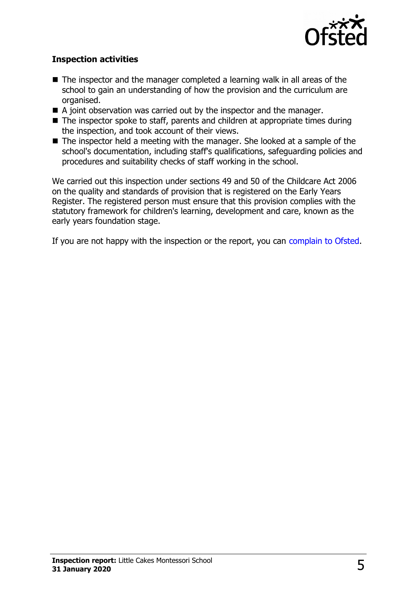

#### **Inspection activities**

- $\blacksquare$  The inspector and the manager completed a learning walk in all areas of the school to gain an understanding of how the provision and the curriculum are organised.
- $\blacksquare$  A joint observation was carried out by the inspector and the manager.
- $\blacksquare$  The inspector spoke to staff, parents and children at appropriate times during the inspection, and took account of their views.
- $\blacksquare$  The inspector held a meeting with the manager. She looked at a sample of the school's documentation, including staff's qualifications, safeguarding policies and procedures and suitability checks of staff working in the school.

We carried out this inspection under sections 49 and 50 of the Childcare Act 2006 on the quality and standards of provision that is registered on the Early Years Register. The registered person must ensure that this provision complies with the statutory framework for children's learning, development and care, known as the early years foundation stage.

If you are not happy with the inspection or the report, you can [complain to Ofsted.](http://www.gov.uk/complain-ofsted-report)